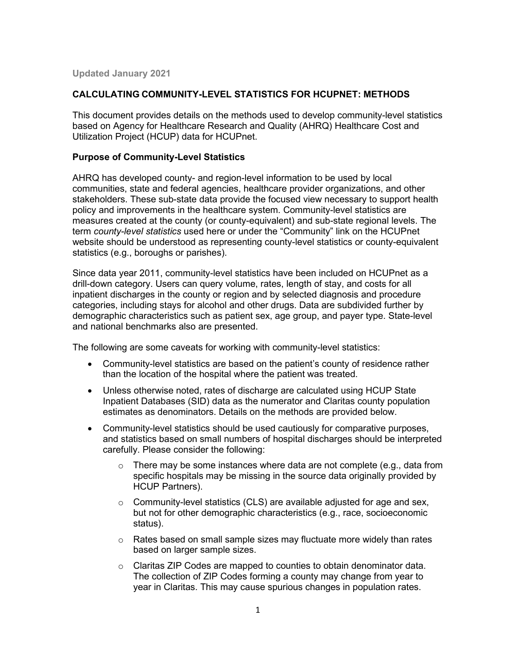**Updated January 2021** 

### **CALCULATING COMMUNITY-LEVEL STATISTICS FOR HCUPNET: METHODS**

This document provides details on the methods used to develop community-level statistics based on Agency for Healthcare Research and Quality (AHRQ) Healthcare Cost and Utilization Project (HCUP) data for HCUPnet.

#### **Purpose of Community-Level Statistics**

 term *county-level statistics* used here or under the "Community" link on the HCUPnet AHRQ has developed county- and region-level information to be used by local communities, state and federal agencies, healthcare provider organizations, and other stakeholders. These sub-state data provide the focused view necessary to support health policy and improvements in the healthcare system. Community-level statistics are measures created at the county (or county-equivalent) and sub-state regional levels. The website should be understood as representing county-level statistics or county-equivalent statistics (e.g., boroughs or parishes).

 drill-down category. Users can query volume, rates, length of stay, and costs for all inpatient discharges in the county or region and by selected diagnosis and procedure and national benchmarks also are presented. Since data year 2011, community-level statistics have been included on HCUPnet as a categories, including stays for alcohol and other drugs. Data are subdivided further by demographic characteristics such as patient sex, age group, and payer type. State-level

The following are some caveats for working with community-level statistics:

- Community-level statistics are based on the patient's county of residence rather than the location of the hospital where the patient was treated.
- • Unless otherwise noted, rates of discharge are calculated using HCUP State Inpatient Databases (SID) data as the numerator and Claritas county population estimates as denominators. Details on the methods are provided below.
- carefully. Please consider the following: • Community-level statistics should be used cautiously for comparative purposes, and statistics based on small numbers of hospital discharges should be interpreted
	- HCUP Partners).  $\circ$  There may be some instances where data are not complete (e.g., data from specific hospitals may be missing in the source data originally provided by
	- status).  $\circ$  Community-level statistics (CLS) are available adjusted for age and sex, but not for other demographic characteristics (e.g., race, socioeconomic
	- o Rates based on small sample sizes may fluctuate more widely than rates based on larger sample sizes.
	- year in Claritas. This may cause spurious changes in population rates. o Claritas ZIP Codes are mapped to counties to obtain denominator data. The collection of ZIP Codes forming a county may change from year to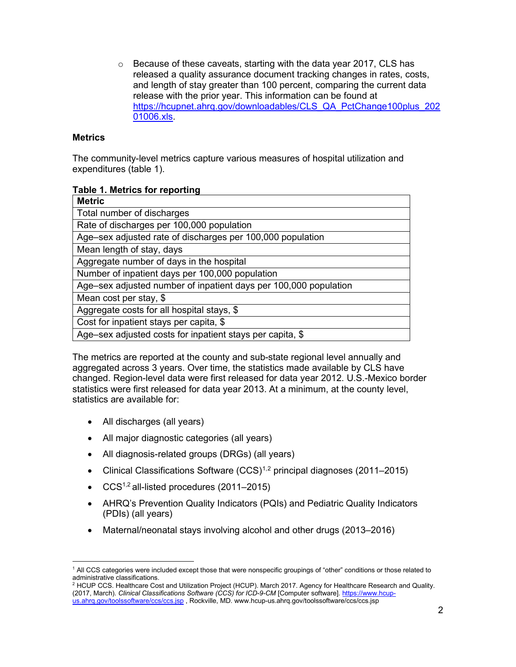release with the prior year. This information can be found at  $\circ$  Because of these caveats, starting with the data year 2017, CLS has released a quality assurance document tracking changes in rates, costs, and length of stay greater than 100 percent, comparing the current data [https://hcupnet.ahrq.gov/downloadables/CLS\\_QA\\_PctChange100plus\\_202](file://afsv03/CLS_QA_PctChange100plus_20201006.xls)  [01006.xls.](file://afsv03/CLS_QA_PctChange100plus_20201006.xls)

### **Metrics**

 The community-level metrics capture various measures of hospital utilization and expenditures (table 1).

|  |  | <b>Table 1. Metrics for reporting</b> |
|--|--|---------------------------------------|
|  |  |                                       |

| <b>Metric</b>                                                    |
|------------------------------------------------------------------|
| Total number of discharges                                       |
| Rate of discharges per 100,000 population                        |
| Age-sex adjusted rate of discharges per 100,000 population       |
| Mean length of stay, days                                        |
| Aggregate number of days in the hospital                         |
| Number of inpatient days per 100,000 population                  |
| Age-sex adjusted number of inpatient days per 100,000 population |
| Mean cost per stay, \$                                           |
| Aggregate costs for all hospital stays, \$                       |
| Cost for inpatient stays per capita, \$                          |
| Age–sex adjusted costs for inpatient stays per capita, \$        |

 The metrics are reported at the county and sub-state regional level annually and aggregated across 3 years. Over time, the statistics made available by CLS have changed. Region-level data were first released for data year 2012. U.S.-Mexico border statistics were first released for data year 2013. At a minimum, at the county level, statistics are available for:

- All discharges (all years)
- All major diagnostic categories (all years)
- All diagnosis-related groups (DRGs) (all years)
- Clinical Classifications Software  $(CCS)^{1,2}$  principal diagnoses (2011–2015)
- $CCS<sup>1,2</sup>$  all-listed procedures (2011–2015)
- • AHRQ's Prevention Quality Indicators (PQIs) and Pediatric Quality Indicators (PDIs) (all years)
- Maternal/neonatal stays involving alcohol and other drugs (2013–2016)

<span id="page-1-0"></span> 1 All CCS categories were included except those that were nonspecific groupings of "other" conditions or those related to administrative classifications.

<span id="page-1-1"></span> 2 HCUP CCS. Healthcare Cost and Utilization Project (HCUP). March 2017. Agency for Healthcare Research and Quality. (2017, March). *Clinical Classifications Software (CCS) for ICD-9-CM* [Computer software]. [https://www.hcup](https://www.hcup-us.ahrq.gov/toolssoftware/ccs/ccs.jsp)[us.ahrq.gov/toolssoftware/ccs/ccs.jsp](https://www.hcup-us.ahrq.gov/toolssoftware/ccs/ccs.jsp) , Rockville, MD.<www.hcup-us.ahrq.gov/toolssoftware/ccs/ccs.jsp>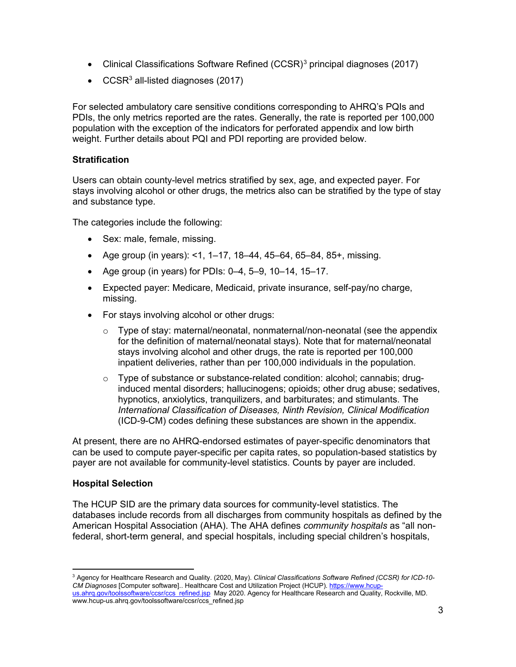- Clinical Classifications Software Refined (CCSR)<sup>[3](#page-2-0)</sup> principal diagnoses (2017)
- $CCSR<sup>3</sup>$  all-listed diagnoses (2017)

 PDIs, the only metrics reported are the rates. Generally, the rate is reported per 100,000 For selected ambulatory care sensitive conditions corresponding to AHRQ's PQIs and population with the exception of the indicators for perforated appendix and low birth weight. Further details about PQI and PDI reporting are provided below.

### **Stratification**

 stays involving alcohol or other drugs, the metrics also can be stratified by the type of stay Users can obtain county-level metrics stratified by sex, age, and expected payer. For and substance type.

The categories include the following:

- Sex: male, female, missing.
- Age group (in years): <1, 1–17, 18–44, 45–64, 65–84, 85+, missing.
- Age group (in years) for PDIs: 0–4, 5–9, 10–14, 15–17.
- Expected payer: Medicare, Medicaid, private insurance, self-pay/no charge, missing.
- For stays involving alcohol or other drugs:
	- $\circ$  Type of stay: maternal/neonatal, nonmaternal/non-neonatal (see the appendix for the definition of maternal/neonatal stays). Note that for maternal/neonatal stays involving alcohol and other drugs, the rate is reported per 100,000 inpatient deliveries, rather than per 100,000 individuals in the population.
	- o Type of substance or substance-related condition: alcohol; cannabis; druginduced mental disorders; hallucinogens; opioids; other drug abuse; sedatives, hypnotics, anxiolytics, tranquilizers, and barbiturates; and stimulants. The *International Classification of Diseases, Ninth Revision, Clinical Modification*  (ICD-9-CM) codes defining these substances are shown in the appendix.

 can be used to compute payer-specific per capita rates, so population-based statistics by At present, there are no AHRQ-endorsed estimates of payer-specific denominators that payer are not available for community-level statistics. Counts by payer are included.

### **Hospital Selection**

 American Hospital Association (AHA). The AHA defines *community hospitals* as "all non-The HCUP SID are the primary data sources for community-level statistics. The databases include records from all discharges from community hospitals as defined by the federal, short-term general, and special hospitals, including special children's hospitals,

<span id="page-2-0"></span><u>us.ahrq.gov/toolssoftware/ccsr/ccs\_refined.jsp</u>\_May 2020. Agency for Healthcare Research and Quality, Rockville, MD. 3 Agency for Healthcare Research and Quality. (2020, May). *Clinical Classifications Software Refined (CCSR) for ICD-10- CM Diagnoses* [Computer software].. Healthcare Cost and Utilization Project (HCUP). [https://www.hcup](https://www.hcup-us.ahrq.gov/toolssoftware/ccsr/ccs_refined.jsp)[www.hcup-us.ahrq.gov/toolssoftware/ccsr/ccs\\_refined.jsp](www.hcup-us.ahrq.gov/toolssoftware/ccsr/ccs_refined.jsp)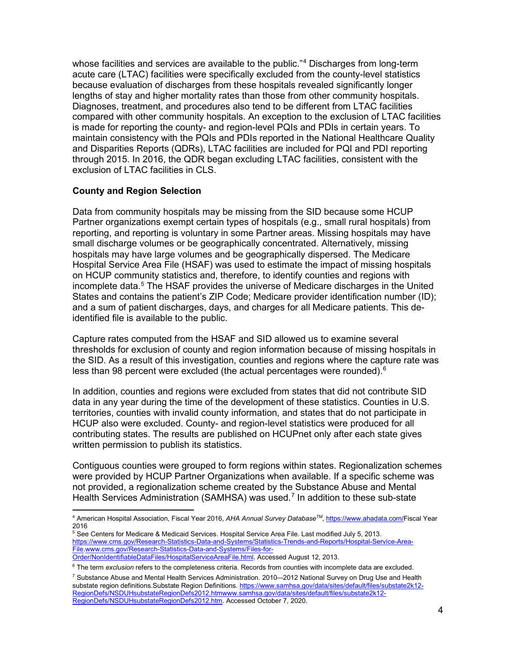lengths of stay and higher mortality rates than those from other community hospitals. Diagnoses, treatment, and procedures also tend to be different from LTAC facilities compared with other community hospitals. An exception to the exclusion of LTAC facilities is made for reporting the county- and region-level PQIs and PDIs in certain years. To and Disparities Reports (QDRs), LTAC facilities are included for PQI and PDI reporting exclusion of LTAC facilities in CLS. whose facilities and services are available to the public."<sup>4</sup> Discharges from long-term acute care (LTAC) facilities were specifically excluded from the county-level statistics because evaluation of discharges from these hospitals revealed significantly longer maintain consistency with the PQIs and PDIs reported in the National Healthcare Quality through 2015. In 2016, the QDR began excluding LTAC facilities, consistent with the

### **County and Region Selection**

 reporting, and reporting is voluntary in some Partner areas. Missing hospitals may have Hospital Service Area File (HSAF) was used to estimate the impact of missing hospitals on HCUP community statistics and, therefore, to identify counties and regions with Data from community hospitals may be missing from the SID because some HCUP Partner organizations exempt certain types of hospitals (e.g., small rural hospitals) from small discharge volumes or be geographically concentrated. Alternatively, missing hospitals may have large volumes and be geographically dispersed. The Medicare incomplete data.[5](#page-3-1) The HSAF provides the universe of Medicare discharges in the United States and contains the patient's ZIP Code; Medicare provider identification number (ID); and a sum of patient discharges, days, and charges for all Medicare patients. This deidentified file is available to the public.

 thresholds for exclusion of county and region information because of missing hospitals in the SID. As a result of this investigation, counties and regions where the capture rate was less than 98 percent were excluded (the actual percentages were rounded). $^6$ Capture rates computed from the HSAF and SID allowed us to examine several

 In addition, counties and regions were excluded from states that did not contribute SID written permission to publish its statistics. data in any year during the time of the development of these statistics. Counties in U.S. territories, counties with invalid county information, and states that do not participate in HCUP also were excluded. County- and region-level statistics were produced for all contributing states. The results are published on HCUPnet only after each state gives

 were provided by HCUP Partner Organizations when available. If a specific scheme was Contiguous counties were grouped to form regions within states. Regionalization schemes not provided, a regionalization scheme created by the Substance Abuse and Mental Health Services Administration (SAMHSA) was used.<sup>7</sup> In addition to these sub-state

<span id="page-3-0"></span><sup>4</sup> American Hospital Association, Fiscal Year 2016, *AHA Annual Survey DatabaseTM* , [https://www.ahadata.com/F](https://www.ahadata.com/)iscal Year 2016

<span id="page-3-1"></span><sup>5</sup> See Centers for Medicare & Medicaid Services. Hospital Service Area File. Last modified July 5, 2013. [https://www.cms.gov/Research-Statistics-Data-and-Systems/Statistics-Trends-and-Reports/Hospital-Service-Area-](https://www.cms.gov/Research-Statistics-Data-and-Systems/Statistics-Trends-and-Reports/Hospital-Service-Area-File)[File](https://www.cms.gov/Research-Statistics-Data-and-Systems/Statistics-Trends-and-Reports/Hospital-Service-Area-File)[.www.cms.gov/Research-Statistics-Data-and-Systems/Files-for-](http://www.cms.gov/Research-Statistics-Data-and-Systems/Files-for-Order/NonIdentifiableDataFiles/HospitalServiceAreaFile.html)

[Order/NonIdentifiableDataFiles/HospitalServiceAreaFile.html.](http://www.cms.gov/Research-Statistics-Data-and-Systems/Files-for-Order/NonIdentifiableDataFiles/HospitalServiceAreaFile.html) Accessed August 12, 2013.

<span id="page-3-2"></span> 6 The term *exclusion* refers to the completeness criteria. Records from counties with incomplete data are excluded.

<span id="page-3-3"></span><sup>&</sup>lt;sup>7</sup> Substance Abuse and Mental Health Services Administration. 2010--2012 National Survey on Drug Use and Health substate region definitions.Substate Region Definitions[. https://www.samhsa.gov/data/sites/default/files/substate2k12-](https://www.samhsa.gov/data/sites/default/files/substate2k12-RegionDefs/NSDUHsubstateRegionDefs2012.htm) [RegionDefs/NSDUHsubstateRegionDefs2012.htm](https://www.samhsa.gov/data/sites/default/files/substate2k12-RegionDefs/NSDUHsubstateRegionDefs2012.htm)[www.samhsa.gov/data/sites/default/files/substate2k12-](http://www.samhsa.gov/data/sites/default/files/substate2k12-RegionDefs/NSDUHsubstateRegionDefs2012.htm) [RegionDefs/NSDUHsubstateRegionDefs2012.htm.](http://www.samhsa.gov/data/sites/default/files/substate2k12-RegionDefs/NSDUHsubstateRegionDefs2012.htm) Accessed October 7, 2020.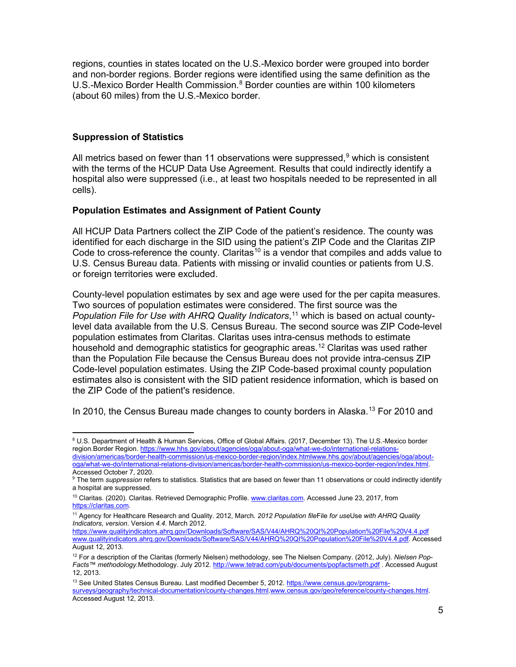regions, counties in states located on the U.S.-Mexico border were grouped into border (about 60 miles) from the U.S.-Mexico border. and non-border regions. Border regions were identified using the same definition as the U.S.-Mexico Border Health Commission.<sup>8</sup> Border counties are within 100 kilometers

### **Suppression of Statistics**

All metrics based on fewer than 11 observations were suppressed, $9$  which is consistent with the terms of the HCUP Data Use Agreement. Results that could indirectly identify a hospital also were suppressed (i.e., at least two hospitals needed to be represented in all cells).

### **Population Estimates and Assignment of Patient County**

All HCUP Data Partners collect the ZIP Code of the patient's residence. The county was identified for each discharge in the SID using the patient's ZIP Code and the Claritas ZIP Code to cross-reference the county. Claritas<sup>[10](#page-4-2)</sup> is a vendor that compiles and adds value to U.S. Census Bureau data. Patients with missing or invalid counties or patients from U.S. or foreign territories were excluded.

 County-level population estimates by sex and age were used for the per capita measures. *Population File for Use with AHRQ Quality Indicators*, [11](#page-4-3) which is based on actual countyhousehold and demographic statistics for geographic areas. $^\mathrm{12}$  $^\mathrm{12}$  $^\mathrm{12}$  Claritas was used rather Code-level population estimates. Using the ZIP Code-based proximal county population the ZIP Code of the patient's residence. Two sources of population estimates were considered. The first source was the level data available from the U.S. Census Bureau. The second source was ZIP Code-level population estimates from Claritas. Claritas uses intra-census methods to estimate than the Population File because the Census Bureau does not provide intra-census ZIP estimates also is consistent with the SID patient residence information, which is based on

In 2010, the Census Bureau made changes to county borders in Alaska.<sup>[13](#page-4-5)</sup> For 2010 and

[division/americas/border-health-commission/us-mexico-border-region/index.html](https://www.hhs.gov/about/agencies/oga/about-oga/what-we-do/international-relations-division/americas/border-health-commission/us-mexico-border-region/index.html)[www.hhs.gov/about/agencies/oga/about](http://www.hhs.gov/about/agencies/oga/about-oga/what-we-do/international-relations-division/americas/border-health-commission/us-mexico-border-region/index.html)[oga/what-we-do/international-relations-division/americas/border-health-commission/us-mexico-border-region/index.html.](http://www.hhs.gov/about/agencies/oga/about-oga/what-we-do/international-relations-division/americas/border-health-commission/us-mexico-border-region/index.html)  Accessed October 7, 2020.

<span id="page-4-0"></span><sup>8</sup> U.S. Department of Health & Human Services, Office of Global Affairs. (2017, December 13). The U.S.-Mexico border region.Border Region[. https://www.hhs.gov/about/agencies/oga/about-oga/what-we-do/international-relations-](https://www.hhs.gov/about/agencies/oga/about-oga/what-we-do/international-relations-division/americas/border-health-commission/us-mexico-border-region/index.html)

<span id="page-4-1"></span><sup>&</sup>lt;sup>9</sup> The term *suppression* refers to statistics. Statistics that are based on fewer than 11 observations or could indirectly identify a hospital are suppressed.

<span id="page-4-2"></span><sup>&</sup>lt;sup>10</sup> Claritas. (2020). Claritas. Retrieved Demographic Profile. [www.claritas.com.](http://www.claritas.com/) Accessed June 23, 2017, from [https://claritas.com.](https://claritas.com/) 

<span id="page-4-3"></span> 11 Agency for Healthcare Research and Quality. 2012, March. *2012 Population file*File *for use*Use *with AHRQ Quality Indicators, version*. Version *4.4.* March 2012.

<https://www.qualityindicators.ahrq.gov/Downloads/Software/SAS/V44/AHRQ%20QI%20Population%20File%20V4.4.pdf> [www.qualityindicators.ahrq.gov/Downloads/Software/SAS/V44/AHRQ%20QI%20Population%20File%20V4.4.pdf.](http://www.qualityindicators.ahrq.gov/Downloads/Software/SAS/V44/AHRQ%20QI%20Population%20File%20V4.4.pdf) Accessed August 12, 2013.

<span id="page-4-4"></span> 12 For a description of the Claritas (formerly Nielsen) methodology, see The Nielsen Company. (2012, July). *Nielsen Pop-Facts™ methodology.*Methodology. July 2012.<http://www.tetrad.com/pub/documents/popfactsmeth.pdf>. Accessed August 12, 2013.

<span id="page-4-5"></span><sup>&</sup>lt;sup>13</sup> See United States Census Bureau. Last modified December 5, 2012. <u>https://www.census.gov/programs-</u> [surveys/geography/technical-documentation/county-changes.html.](https://www.census.gov/programs-surveys/geography/technical-documentation/county-changes.html)[www.census.gov/geo/reference/county-changes.html.](http://www.census.gov/geo/reference/county-changes.html)  Accessed August 12, 2013.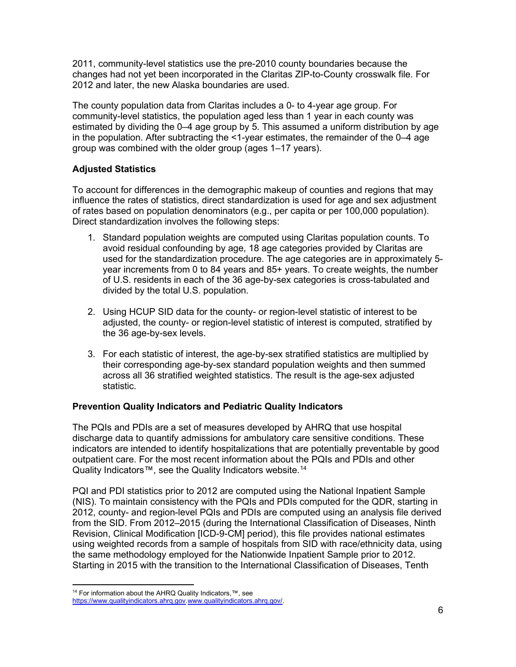2011, community-level statistics use the pre-2010 county boundaries because the changes had not yet been incorporated in the Claritas ZIP-to-County crosswalk file. For 2012 and later, the new Alaska boundaries are used.

 group was combined with the older group (ages 1–17 years). The county population data from Claritas includes a 0- to 4-year age group. For community-level statistics, the population aged less than 1 year in each county was estimated by dividing the 0–4 age group by 5. This assumed a uniform distribution by age in the population. After subtracting the <1-year estimates, the remainder of the 0–4 age

# **Adjusted Statistics**

 To account for differences in the demographic makeup of counties and regions that may influence the rates of statistics, direct standardization is used for age and sex adjustment of rates based on population denominators (e.g., per capita or per 100,000 population). Direct standardization involves the following steps:

- 1. Standard population weights are computed using Claritas population counts. To avoid residual confounding by age, 18 age categories provided by Claritas are used for the standardization procedure. The age categories are in approximately 5 year increments from 0 to 84 years and 85+ years. To create weights, the number of U.S. residents in each of the 36 age-by-sex categories is cross-tabulated and divided by the total U.S. population.
- 2. Using HCUP SID data for the county- or region-level statistic of interest to be adjusted, the county- or region-level statistic of interest is computed, stratified by the 36 age-by-sex levels.
- 3. For each statistic of interest, the age-by-sex stratified statistics are multiplied by their corresponding age-by-sex standard population weights and then summed across all 36 stratified weighted statistics. The result is the age-sex adjusted statistic.

## **Prevention Quality Indicators and Pediatric Quality Indicators**

 The PQIs and PDIs are a set of measures developed by AHRQ that use hospital outpatient care. For the most recent information about the PQIs and PDIs and other discharge data to quantify admissions for ambulatory care sensitive conditions. These indicators are intended to identify hospitalizations that are potentially preventable by good Quality Indicators™, see the Quality Indicators website.<sup>14</sup>

 (NIS). To maintain consistency with the PQIs and PDIs computed for the QDR, starting in 2012, county- and region-level PQIs and PDIs are computed using an analysis file derived from the SID. From 2012–2015 (during the International Classification of Diseases, Ninth the same methodology employed for the Nationwide Inpatient Sample prior to 2012. PQI and PDI statistics prior to 2012 are computed using the National Inpatient Sample Revision, Clinical Modification [ICD-9-CM] period), this file provides national estimates using weighted records from a sample of hospitals from SID with race/ethnicity data, using Starting in 2015 with the transition to the International Classification of Diseases, Tenth

<span id="page-5-0"></span><sup>&</sup>lt;sup>14</sup> For information about the AHRQ Quality Indicators,<sup>™</sup>, see [https://www.qualityindicators.ahrq.gov.](https://www.qualityindicators.ahrq.gov/)[www.qualityindicators.ahrq.gov/.](http://www.qualityindicators.ahrq.gov/)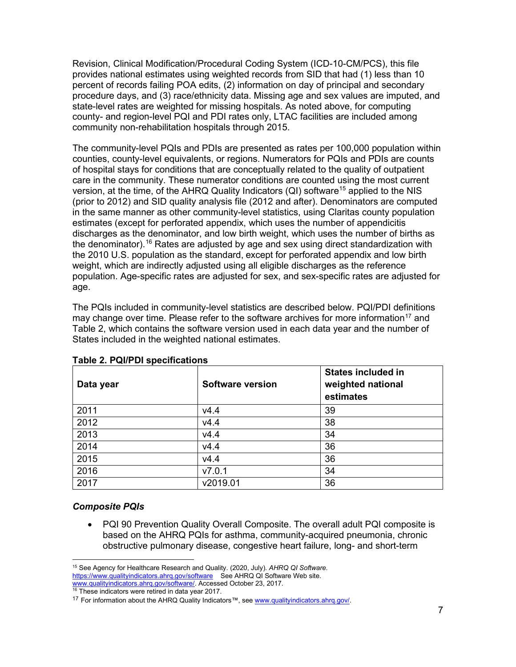provides national estimates using weighted records from SID that had (1) less than 10 Revision, Clinical Modification/Procedural Coding System (ICD-10-CM/PCS), this file percent of records failing POA edits, (2) information on day of principal and secondary procedure days, and (3) race/ethnicity data. Missing age and sex values are imputed, and state-level rates are weighted for missing hospitals. As noted above, for computing county- and region-level PQI and PDI rates only, LTAC facilities are included among community non-rehabilitation hospitals through 2015.

 The community-level PQIs and PDIs are presented as rates per 100,000 population within population. Age-specific rates are adjusted for sex, and sex-specific rates are adjusted for counties, county-level equivalents, or regions. Numerators for PQIs and PDIs are counts of hospital stays for conditions that are conceptually related to the quality of outpatient care in the community. These numerator conditions are counted using the most current version, at the time, of the AHRQ Quality Indicators  $(QI)$  software<sup>[15](#page-6-0)</sup> applied to the NIS (prior to 2012) and SID quality analysis file (2012 and after). Denominators are computed in the same manner as other community-level statistics, using Claritas county population estimates (except for perforated appendix, which uses the number of appendicitis discharges as the denominator, and low birth weight, which uses the number of births as the denominator).<sup>[16](#page-6-1)</sup> Rates are adjusted by age and sex using direct standardization with the 2010 U.S. population as the standard, except for perforated appendix and low birth weight, which are indirectly adjusted using all eligible discharges as the reference age.

The PQIs included in community-level statistics are described below. PQI/PDI definitions may change over time. Please refer to the software archives for more information<sup>17</sup> and Table 2, which contains the software version used in each data year and the number of States included in the weighted national estimates.

| Data year | Software version | <b>States included in</b><br>weighted national<br>estimates |
|-----------|------------------|-------------------------------------------------------------|
| 2011      | V4.4             | 39                                                          |
| 2012      | V4.4             | 38                                                          |
| 2013      | V4.4             | 34                                                          |
| 2014      | V4.4             | 36                                                          |
| 2015      | V4.4             | 36                                                          |
| 2016      | V7.0.1           | 34                                                          |
| 2017      | v2019.01         | 36                                                          |

**Table 2. PQI/PDI specifications** 

### *Composite PQIs*

 based on the AHRQ PQIs for asthma, community-acquired pneumonia, chronic obstructive pulmonary disease, congestive heart failure, long- and short-term • PQI 90 Prevention Quality Overall Composite. The overall adult PQI composite is

<span id="page-6-0"></span> 15 See Agency for Healthcare Research and Quality. (2020, July). *AHRQ QI Software.*  <https://www.qualityindicators.ahrq.gov/software>See AHRQ QI Software Web site.

<span id="page-6-1"></span><sup>&</sup>lt;u>www.qualityindicators.ahrq.gov/software/</u>. Accessed October 23, 2017.<br><sup>16</sup> These indicators were retired in data year 2017.

<span id="page-6-2"></span><sup>&</sup>lt;sup>17</sup> For information about the AHRQ Quality Indicators™, se[e www.qualityindicators.ahrq.gov/.](http://www.qualityindicators.ahrq.gov/)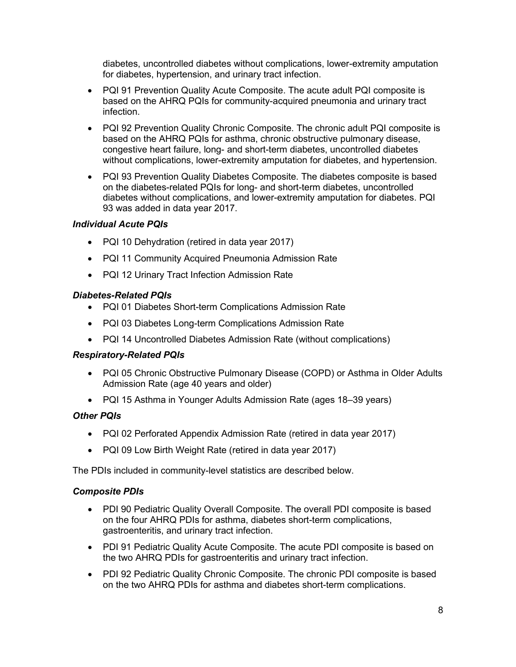diabetes, uncontrolled diabetes without complications, lower-extremity amputation for diabetes, hypertension, and urinary tract infection.

- PQI 91 Prevention Quality Acute Composite. The acute adult PQI composite is based on the AHRQ PQIs for community-acquired pneumonia and urinary tract infection.
- PQI 92 Prevention Quality Chronic Composite. The chronic adult PQI composite is based on the AHRQ PQIs for asthma, chronic obstructive pulmonary disease, congestive heart failure, long- and short-term diabetes, uncontrolled diabetes without complications, lower-extremity amputation for diabetes, and hypertension.
- • PQI 93 Prevention Quality Diabetes Composite. The diabetes composite is based on the diabetes-related PQIs for long- and short-term diabetes, uncontrolled diabetes without complications, and lower-extremity amputation for diabetes. PQI 93 was added in data year 2017.

# *Individual Acute PQIs*

- PQI 10 Dehydration (retired in data year 2017)
- PQI 11 Community Acquired Pneumonia Admission Rate
- PQI 12 Urinary Tract Infection Admission Rate

## *Diabetes-Related PQIs*

- PQI 01 Diabetes Short-term Complications Admission Rate
- PQI 03 Diabetes Long-term Complications Admission Rate
- PQI 14 Uncontrolled Diabetes Admission Rate (without complications)

### *Respiratory-Related PQIs*

- Admission Rate (age 40 years and older) • PQI 05 Chronic Obstructive Pulmonary Disease (COPD) or Asthma in Older Adults
- PQI 15 Asthma in Younger Adults Admission Rate (ages 18–39 years)

## *Other PQIs*

- PQI 02 Perforated Appendix Admission Rate (retired in data year 2017)
- PQI 09 Low Birth Weight Rate (retired in data year 2017)

The PDIs included in community-level statistics are described below.

### *Composite PDIs*

- • PDI 90 Pediatric Quality Overall Composite. The overall PDI composite is based on the four AHRQ PDIs for asthma, diabetes short-term complications, gastroenteritis, and urinary tract infection.
- PDI 91 Pediatric Quality Acute Composite. The acute PDI composite is based on the two AHRQ PDIs for gastroenteritis and urinary tract infection.
- PDI 92 Pediatric Quality Chronic Composite. The chronic PDI composite is based on the two AHRQ PDIs for asthma and diabetes short-term complications.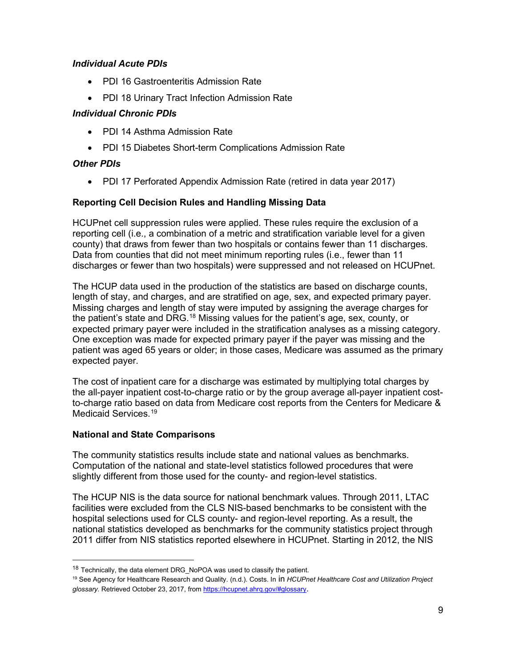# *Individual Acute PDIs*

- PDI 16 Gastroenteritis Admission Rate
- PDI 18 Urinary Tract Infection Admission Rate

# *Individual Chronic PDIs*

- PDI 14 Asthma Admission Rate
- PDI 15 Diabetes Short-term Complications Admission Rate

# *Other PDIs*

• PDI 17 Perforated Appendix Admission Rate (retired in data year 2017)

# **Reporting Cell Decision Rules and Handling Missing Data**

 reporting cell (i.e., a combination of a metric and stratification variable level for a given discharges or fewer than two hospitals) were suppressed and not released on HCUPnet. HCUPnet cell suppression rules were applied. These rules require the exclusion of a county) that draws from fewer than two hospitals or contains fewer than 11 discharges. Data from counties that did not meet minimum reporting rules (i.e., fewer than 11

 One exception was made for expected primary payer if the payer was missing and the patient was aged 65 years or older; in those cases, Medicare was assumed as the primary The HCUP data used in the production of the statistics are based on discharge counts, length of stay, and charges, and are stratified on age, sex, and expected primary payer. Missing charges and length of stay were imputed by assigning the average charges for the patient's state and DRG.<sup>[18](#page-8-0)</sup> Missing values for the patient's age, sex, county, or expected primary payer were included in the stratification analyses as a missing category. expected payer.

 the all-payer inpatient cost-to-charge ratio or by the group average all-payer inpatient cost- Medicaid Services. [19](#page-8-1)  The cost of inpatient care for a discharge was estimated by multiplying total charges by to-charge ratio based on data from Medicare cost reports from the Centers for Medicare &

## **National and State Comparisons**

 Computation of the national and state-level statistics followed procedures that were slightly different from those used for the county- and region-level statistics. The community statistics results include state and national values as benchmarks.

 The HCUP NIS is the data source for national benchmark values. Through 2011, LTAC facilities were excluded from the CLS NIS-based benchmarks to be consistent with the hospital selections used for CLS county- and region-level reporting. As a result, the national statistics developed as benchmarks for the community statistics project through 2011 differ from NIS statistics reported elsewhere in HCUPnet. Starting in 2012, the NIS

<span id="page-8-0"></span><sup>&</sup>lt;sup>18</sup> Technically, the data element DRG\_NoPOA was used to classify the patient.

<span id="page-8-1"></span>*glossary.* Retrieved October 23, 2017, from <u>https://hcupnet.ahrq.gov/#glossary</u>.<br>9 19 See Agency for Healthcare Research and Quality. (n.d.). Costs. In in *HCUPnet Healthcare Cost and Utilization Project*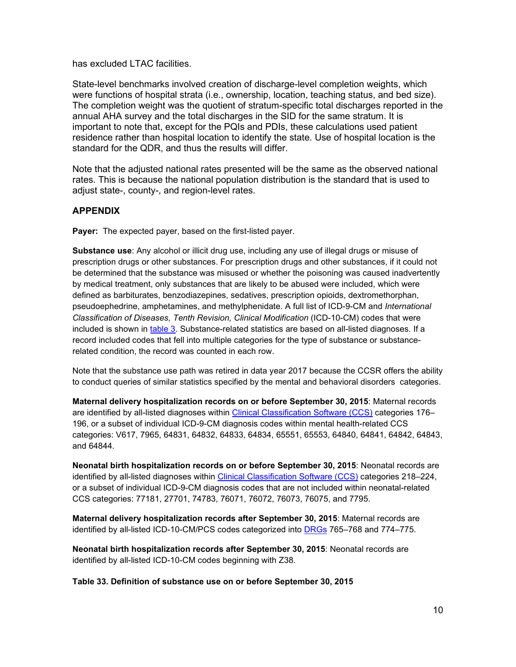has excluded LTAC facilities.

 important to note that, except for the PQIs and PDIs, these calculations used patient State-level benchmarks involved creation of discharge-level completion weights, which were functions of hospital strata (i.e., ownership, location, teaching status, and bed size). The completion weight was the quotient of stratum-specific total discharges reported in the annual AHA survey and the total discharges in the SID for the same stratum. It is residence rather than hospital location to identify the state. Use of hospital location is the standard for the QDR, and thus the results will differ.

Note that the adjusted national rates presented will be the same as the observed national rates. This is because the national population distribution is the standard that is used to adjust state-, county-, and region-level rates.

## **APPENDIX**

**Payer:** The expected payer, based on the first-listed payer.

 **Substance use**: Any alcohol or illicit drug use, including any use of illegal drugs or misuse of prescription drugs or other substances. For prescription drugs and other substances, if it could not pseudoephedrine, amphetamines, and methylphenidate. A full list of ICD-9-CM and *International*  be determined that the substance was misused or whether the poisoning was caused inadvertently by medical treatment, only substances that are likely to be abused were included, which were defined as barbiturates, benzodiazepines, sedatives, prescription opioids, dextromethorphan, *Classification of Diseases, Tenth Revision, Clinical Modification* (ICD-10-CM) codes that were included is shown in table 3. Substance-related statistics are based on all-listed diagnoses. If a record included codes that fell into multiple categories for the type of substance or substancerelated condition, the record was counted in each row.

 Note that the substance use path was retired in data year 2017 because the CCSR offers the ability to conduct queries of similar statistics specified by the mental and behavioral disorders categories.

 **Maternal delivery hospitalization records on or before September 30, 2015**: Maternal records categories: V617, 7965, 64831, 64832, 64833, 64834, 65551, 65553, 64840, 64841, 64842, 64843, are identified by all-listed diagnoses within [Clinical Classification Software \(CCS\)](https://www.hcup-us.ahrq.gov/toolssoftware/ccs/ccs.jsp) categories 176– 196, or a subset of individual ICD-9-CM diagnosis codes within mental health-related CCS and 64844.

 **Neonatal birth hospitalization records on or before September 30, 2015**: Neonatal records are or a subset of individual ICD-9-CM diagnosis codes that are not included within neonatal-related CCS categories: 77181, 27701, 74783, 76071, 76072, 76073, 76075, and 7795. identified by all-listed diagnoses within [Clinical Classification Software \(CCS\)](https://www.hcup-us.ahrq.gov/toolssoftware/ccs/ccs.jsp) categories 218–224,

identified by all-listed ICD-10-CM/PCS codes categorized into <u>DRGs</u> 765–768 and 774–775. **Maternal delivery hospitalization records after September 30, 2015**: Maternal records are

 **Neonatal birth hospitalization records after September 30, 2015**: Neonatal records are identified by all-listed ICD-10-CM codes beginning with Z38.

**Table 33. Definition of substance use on or before September 30, 2015**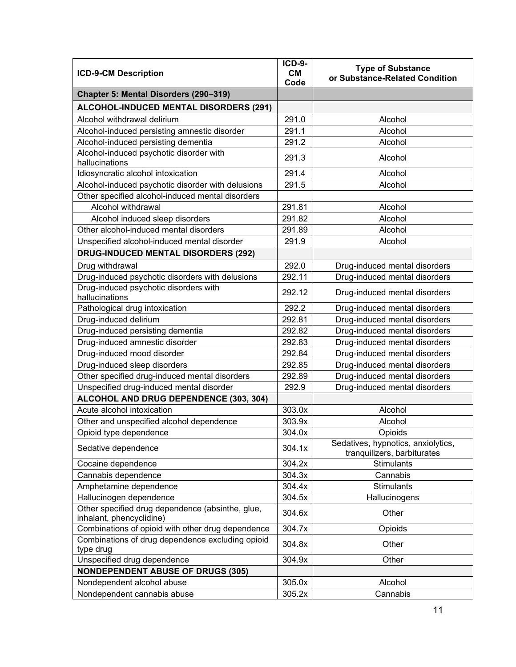| <b>ICD-9-CM Description</b>                                                  |        | <b>Type of Substance</b><br>or Substance-Related Condition        |
|------------------------------------------------------------------------------|--------|-------------------------------------------------------------------|
|                                                                              |        |                                                                   |
| Chapter 5: Mental Disorders (290-319)                                        |        |                                                                   |
| ALCOHOL-INDUCED MENTAL DISORDERS (291)                                       |        |                                                                   |
| Alcohol withdrawal delirium                                                  | 291.0  | Alcohol                                                           |
| Alcohol-induced persisting amnestic disorder                                 | 291.1  | Alcohol                                                           |
| Alcohol-induced persisting dementia                                          | 291.2  | Alcohol                                                           |
| Alcohol-induced psychotic disorder with<br>hallucinations                    | 291.3  | Alcohol                                                           |
| Idiosyncratic alcohol intoxication                                           | 291.4  | Alcohol                                                           |
| Alcohol-induced psychotic disorder with delusions                            | 291.5  | Alcohol                                                           |
| Other specified alcohol-induced mental disorders                             |        |                                                                   |
| Alcohol withdrawal                                                           | 291.81 | Alcohol                                                           |
| Alcohol induced sleep disorders                                              | 291.82 | Alcohol                                                           |
| Other alcohol-induced mental disorders                                       | 291.89 | Alcohol                                                           |
| Unspecified alcohol-induced mental disorder                                  | 291.9  | Alcohol                                                           |
| <b>DRUG-INDUCED MENTAL DISORDERS (292)</b>                                   |        |                                                                   |
| Drug withdrawal                                                              | 292.0  | Drug-induced mental disorders                                     |
| Drug-induced psychotic disorders with delusions                              | 292.11 | Drug-induced mental disorders                                     |
| Drug-induced psychotic disorders with<br>hallucinations                      | 292.12 | Drug-induced mental disorders                                     |
| Pathological drug intoxication                                               | 292.2  | Drug-induced mental disorders                                     |
| Drug-induced delirium                                                        | 292.81 | Drug-induced mental disorders                                     |
| Drug-induced persisting dementia                                             | 292.82 | Drug-induced mental disorders                                     |
| Drug-induced amnestic disorder                                               | 292.83 | Drug-induced mental disorders                                     |
| Drug-induced mood disorder                                                   | 292.84 | Drug-induced mental disorders                                     |
| Drug-induced sleep disorders                                                 | 292.85 | Drug-induced mental disorders                                     |
| Other specified drug-induced mental disorders                                | 292.89 | Drug-induced mental disorders                                     |
| Unspecified drug-induced mental disorder                                     | 292.9  | Drug-induced mental disorders                                     |
| ALCOHOL AND DRUG DEPENDENCE (303, 304)                                       |        |                                                                   |
| Acute alcohol intoxication                                                   | 303.0x | Alcohol                                                           |
| Other and unspecified alcohol dependence                                     | 303.9x | Alcohol                                                           |
| Opioid type dependence                                                       | 304.0x | Opioids                                                           |
| Sedative dependence                                                          | 304.1x | Sedatives, hypnotics, anxiolytics,<br>tranquilizers, barbiturates |
| Cocaine dependence                                                           | 304.2x | Stimulants                                                        |
| Cannabis dependence                                                          | 304.3x | Cannabis                                                          |
| Amphetamine dependence                                                       | 304.4x | <b>Stimulants</b>                                                 |
| Hallucinogen dependence                                                      | 304.5x | Hallucinogens                                                     |
| Other specified drug dependence (absinthe, glue,<br>inhalant, phencyclidine) | 304.6x | Other                                                             |
| Combinations of opioid with other drug dependence                            | 304.7x | Opioids                                                           |
| Combinations of drug dependence excluding opioid<br>type drug                | 304.8x | Other                                                             |
| Unspecified drug dependence                                                  | 304.9x | Other                                                             |
| <b>NONDEPENDENT ABUSE OF DRUGS (305)</b>                                     |        |                                                                   |
| Nondependent alcohol abuse                                                   | 305.0x | Alcohol                                                           |
|                                                                              |        |                                                                   |
| Nondependent cannabis abuse                                                  | 305.2x | Cannabis                                                          |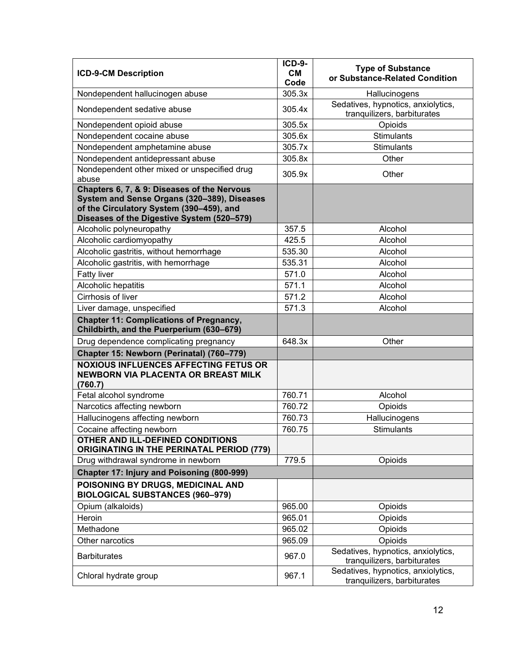| <b>ICD-9-CM Description</b>                                                                                                           |        | <b>Type of Substance</b><br>or Substance-Related Condition        |
|---------------------------------------------------------------------------------------------------------------------------------------|--------|-------------------------------------------------------------------|
| Nondependent hallucinogen abuse                                                                                                       | 305.3x | Hallucinogens                                                     |
| Nondependent sedative abuse                                                                                                           | 305.4x | Sedatives, hypnotics, anxiolytics,<br>tranquilizers, barbiturates |
| Nondependent opioid abuse                                                                                                             | 305.5x | Opioids                                                           |
| Nondependent cocaine abuse                                                                                                            | 305.6x | <b>Stimulants</b>                                                 |
| Nondependent amphetamine abuse                                                                                                        | 305.7x | <b>Stimulants</b>                                                 |
| Nondependent antidepressant abuse                                                                                                     | 305.8x | Other                                                             |
| Nondependent other mixed or unspecified drug<br>abuse                                                                                 | 305.9x | Other                                                             |
| Chapters 6, 7, & 9: Diseases of the Nervous                                                                                           |        |                                                                   |
| System and Sense Organs (320-389), Diseases<br>of the Circulatory System (390-459), and<br>Diseases of the Digestive System (520-579) |        |                                                                   |
| Alcoholic polyneuropathy                                                                                                              | 357.5  | Alcohol                                                           |
| Alcoholic cardiomyopathy                                                                                                              | 425.5  | Alcohol                                                           |
| Alcoholic gastritis, without hemorrhage                                                                                               | 535.30 | Alcohol                                                           |
| Alcoholic gastritis, with hemorrhage                                                                                                  | 535.31 | Alcohol                                                           |
| <b>Fatty liver</b>                                                                                                                    | 571.0  | Alcohol                                                           |
| Alcoholic hepatitis                                                                                                                   | 571.1  | Alcohol                                                           |
| Cirrhosis of liver                                                                                                                    | 571.2  | Alcohol                                                           |
| Liver damage, unspecified                                                                                                             | 571.3  | Alcohol                                                           |
| <b>Chapter 11: Complications of Pregnancy,</b><br>Childbirth, and the Puerperium (630-679)                                            |        |                                                                   |
| Drug dependence complicating pregnancy                                                                                                | 648.3x | Other                                                             |
| Chapter 15: Newborn (Perinatal) (760-779)                                                                                             |        |                                                                   |
| <b>NOXIOUS INFLUENCES AFFECTING FETUS OR</b><br><b>NEWBORN VIA PLACENTA OR BREAST MILK</b><br>(760.7)                                 |        |                                                                   |
| Fetal alcohol syndrome                                                                                                                | 760.71 | Alcohol                                                           |
| Narcotics affecting newborn                                                                                                           | 760.72 | Opioids                                                           |
| Hallucinogens affecting newborn                                                                                                       | 760.73 | Hallucinogens                                                     |
| Cocaine affecting newborn                                                                                                             | 760.75 | <b>Stimulants</b>                                                 |
| OTHER AND ILL-DEFINED CONDITIONS<br><b>ORIGINATING IN THE PERINATAL PERIOD (779)</b>                                                  |        |                                                                   |
| Drug withdrawal syndrome in newborn                                                                                                   | 779.5  | Opioids                                                           |
| Chapter 17: Injury and Poisoning (800-999)                                                                                            |        |                                                                   |
| POISONING BY DRUGS, MEDICINAL AND<br><b>BIOLOGICAL SUBSTANCES (960-979)</b>                                                           |        |                                                                   |
| Opium (alkaloids)                                                                                                                     | 965.00 | Opioids                                                           |
| Heroin                                                                                                                                | 965.01 | Opioids                                                           |
| Methadone                                                                                                                             | 965.02 | <b>Opioids</b>                                                    |
| Other narcotics                                                                                                                       | 965.09 | Opioids                                                           |
| <b>Barbiturates</b>                                                                                                                   | 967.0  | Sedatives, hypnotics, anxiolytics,<br>tranquilizers, barbiturates |
| Chloral hydrate group                                                                                                                 | 967.1  | Sedatives, hypnotics, anxiolytics,<br>tranquilizers, barbiturates |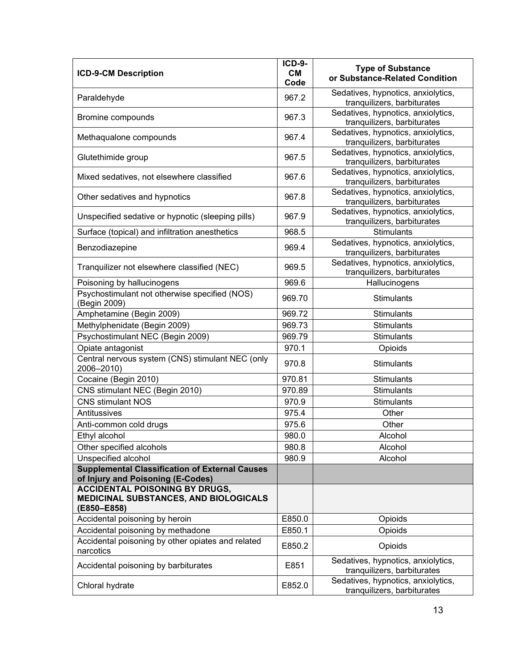| <b>ICD-9-CM Description</b>                                                                   | <b>ICD-9-</b><br><b>CM</b><br>Code | <b>Type of Substance</b><br>or Substance-Related Condition        |
|-----------------------------------------------------------------------------------------------|------------------------------------|-------------------------------------------------------------------|
| Paraldehyde                                                                                   | 967.2                              | Sedatives, hypnotics, anxiolytics,<br>tranquilizers, barbiturates |
| Bromine compounds                                                                             | 967.3                              | Sedatives, hypnotics, anxiolytics,<br>tranquilizers, barbiturates |
| Methaqualone compounds                                                                        | 967.4                              | Sedatives, hypnotics, anxiolytics,<br>tranquilizers, barbiturates |
| Glutethimide group                                                                            | 967.5                              | Sedatives, hypnotics, anxiolytics,<br>tranquilizers, barbiturates |
| Mixed sedatives, not elsewhere classified                                                     | 967.6                              | Sedatives, hypnotics, anxiolytics,<br>tranquilizers, barbiturates |
| Other sedatives and hypnotics                                                                 | 967.8                              | Sedatives, hypnotics, anxiolytics,<br>tranquilizers, barbiturates |
| Unspecified sedative or hypnotic (sleeping pills)                                             | 967.9                              | Sedatives, hypnotics, anxiolytics,<br>tranquilizers, barbiturates |
| Surface (topical) and infiltration anesthetics                                                | 968.5                              | <b>Stimulants</b>                                                 |
| Benzodiazepine                                                                                | 969.4                              | Sedatives, hypnotics, anxiolytics,<br>tranquilizers, barbiturates |
| Tranquilizer not elsewhere classified (NEC)                                                   | 969.5                              | Sedatives, hypnotics, anxiolytics,<br>tranquilizers, barbiturates |
| Poisoning by hallucinogens                                                                    | 969.6                              | Hallucinogens                                                     |
| Psychostimulant not otherwise specified (NOS)<br>(Begin 2009)                                 | 969.70                             | <b>Stimulants</b>                                                 |
| Amphetamine (Begin 2009)                                                                      | 969.72                             | <b>Stimulants</b>                                                 |
| Methylphenidate (Begin 2009)                                                                  | 969.73                             | <b>Stimulants</b>                                                 |
| Psychostimulant NEC (Begin 2009)                                                              | 969.79                             | <b>Stimulants</b>                                                 |
| Opiate antagonist                                                                             | 970.1                              | Opioids                                                           |
| Central nervous system (CNS) stimulant NEC (only<br>2006-2010)                                | 970.8                              | <b>Stimulants</b>                                                 |
| Cocaine (Begin 2010)                                                                          | 970.81                             | <b>Stimulants</b>                                                 |
| CNS stimulant NEC (Begin 2010)                                                                | 970.89                             | <b>Stimulants</b>                                                 |
| <b>CNS stimulant NOS</b>                                                                      | 970.9                              | <b>Stimulants</b>                                                 |
| Antitussives                                                                                  | 975.4                              | Other                                                             |
| Anti-common cold drugs                                                                        | 975.6                              | Other                                                             |
| Ethyl alcohol                                                                                 | 980.0                              | Alcohol                                                           |
| Other specified alcohols                                                                      | 980.8                              | Alcohol                                                           |
| Unspecified alcohol                                                                           | 980.9                              | Alcohol                                                           |
| <b>Supplemental Classification of External Causes</b><br>of Injury and Poisoning (E-Codes)    |                                    |                                                                   |
| <b>ACCIDENTAL POISONING BY DRUGS,</b><br>MEDICINAL SUBSTANCES, AND BIOLOGICALS<br>(E850-E858) |                                    |                                                                   |
| Accidental poisoning by heroin                                                                | E850.0                             | <b>Opioids</b>                                                    |
| Accidental poisoning by methadone                                                             | E850.1                             | Opioids                                                           |
| Accidental poisoning by other opiates and related<br>narcotics                                | E850.2                             | Opioids                                                           |
| Accidental poisoning by barbiturates                                                          | E851                               | Sedatives, hypnotics, anxiolytics,<br>tranquilizers, barbiturates |
| Chloral hydrate                                                                               | E852.0                             | Sedatives, hypnotics, anxiolytics,<br>tranquilizers, barbiturates |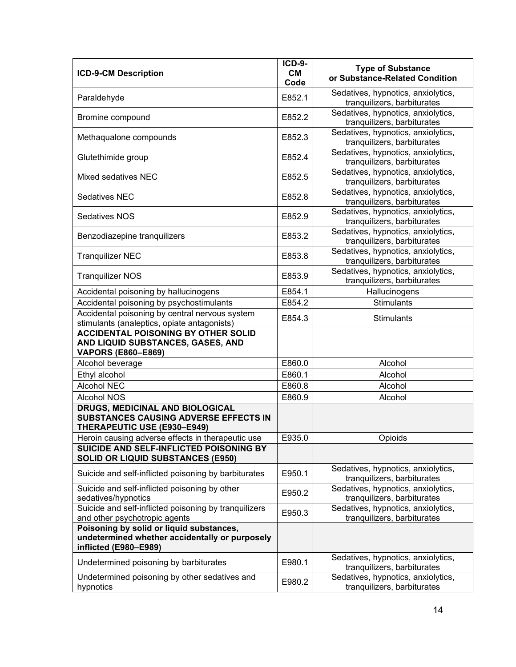| <b>ICD-9-CM Description</b>                                                                                    | <b>ICD-9-</b><br><b>CM</b><br>Code | <b>Type of Substance</b><br>or Substance-Related Condition        |
|----------------------------------------------------------------------------------------------------------------|------------------------------------|-------------------------------------------------------------------|
| Paraldehyde                                                                                                    | E852.1                             | Sedatives, hypnotics, anxiolytics,<br>tranquilizers, barbiturates |
| Bromine compound                                                                                               | E852.2                             | Sedatives, hypnotics, anxiolytics,<br>tranquilizers, barbiturates |
| Methaqualone compounds                                                                                         | E852.3                             | Sedatives, hypnotics, anxiolytics,<br>tranquilizers, barbiturates |
| Glutethimide group                                                                                             | E852.4                             | Sedatives, hypnotics, anxiolytics,<br>tranquilizers, barbiturates |
| Mixed sedatives NEC                                                                                            | E852.5                             | Sedatives, hypnotics, anxiolytics,<br>tranquilizers, barbiturates |
| <b>Sedatives NEC</b>                                                                                           | E852.8                             | Sedatives, hypnotics, anxiolytics,<br>tranquilizers, barbiturates |
| Sedatives NOS                                                                                                  | E852.9                             | Sedatives, hypnotics, anxiolytics,<br>tranquilizers, barbiturates |
| Benzodiazepine tranquilizers                                                                                   | E853.2                             | Sedatives, hypnotics, anxiolytics,<br>tranquilizers, barbiturates |
| <b>Tranquilizer NEC</b>                                                                                        | E853.8                             | Sedatives, hypnotics, anxiolytics,<br>tranquilizers, barbiturates |
| <b>Tranquilizer NOS</b>                                                                                        | E853.9                             | Sedatives, hypnotics, anxiolytics,<br>tranquilizers, barbiturates |
| Accidental poisoning by hallucinogens                                                                          | E854.1                             | Hallucinogens                                                     |
| Accidental poisoning by psychostimulants                                                                       | E854.2                             | Stimulants                                                        |
| Accidental poisoning by central nervous system<br>stimulants (analeptics, opiate antagonists)                  | E854.3                             | Stimulants                                                        |
| <b>ACCIDENTAL POISONING BY OTHER SOLID</b><br>AND LIQUID SUBSTANCES, GASES, AND<br><b>VAPORS (E860-E869)</b>   |                                    |                                                                   |
| Alcohol beverage                                                                                               | E860.0                             | Alcohol                                                           |
| Ethyl alcohol                                                                                                  | E860.1                             | Alcohol                                                           |
| <b>Alcohol NEC</b>                                                                                             | E860.8                             | Alcohol                                                           |
| <b>Alcohol NOS</b>                                                                                             | E860.9                             | Alcohol                                                           |
| DRUGS, MEDICINAL AND BIOLOGICAL<br><b>SUBSTANCES CAUSING ADVERSE EFFECTS IN</b><br>THERAPEUTIC USE (E930-E949) |                                    |                                                                   |
| Heroin causing adverse effects in therapeutic use                                                              | E935.0                             | Opioids                                                           |
| SUICIDE AND SELF-INFLICTED POISONING BY<br><b>SOLID OR LIQUID SUBSTANCES (E950)</b>                            |                                    |                                                                   |
| Suicide and self-inflicted poisoning by barbiturates                                                           | E950.1                             | Sedatives, hypnotics, anxiolytics,<br>tranquilizers, barbiturates |
| Suicide and self-inflicted poisoning by other<br>sedatives/hypnotics                                           | E950.2                             | Sedatives, hypnotics, anxiolytics,<br>tranquilizers, barbiturates |
| Suicide and self-inflicted poisoning by tranquilizers<br>and other psychotropic agents                         | E950.3                             | Sedatives, hypnotics, anxiolytics,<br>tranquilizers, barbiturates |
| Poisoning by solid or liquid substances,                                                                       |                                    |                                                                   |
| undetermined whether accidentally or purposely<br>inflicted (E980-E989)                                        |                                    |                                                                   |
| Undetermined poisoning by barbiturates                                                                         | E980.1                             | Sedatives, hypnotics, anxiolytics,<br>tranquilizers, barbiturates |
| Undetermined poisoning by other sedatives and<br>hypnotics                                                     | E980.2                             | Sedatives, hypnotics, anxiolytics,<br>tranquilizers, barbiturates |